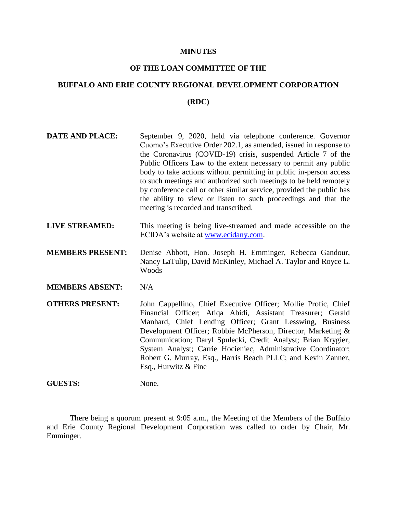#### **MINUTES**

#### **OF THE LOAN COMMITTEE OF THE**

# **BUFFALO AND ERIE COUNTY REGIONAL DEVELOPMENT CORPORATION (RDC)**

## **DATE AND PLACE:** September 9, 2020, held via telephone conference. Governor Cuomo's Executive Order 202.1, as amended, issued in response to the Coronavirus (COVID-19) crisis, suspended Article 7 of the Public Officers Law to the extent necessary to permit any public body to take actions without permitting in public in-person access to such meetings and authorized such meetings to be held remotely by conference call or other similar service, provided the public has the ability to view or listen to such proceedings and that the meeting is recorded and transcribed.

- **LIVE STREAMED:** This meeting is being live-streamed and made accessible on the ECIDA's website at [www.ecidany.com.](http://www.ecidany.com/)
- **MEMBERS PRESENT:** Denise Abbott, Hon. Joseph H. Emminger, Rebecca Gandour, Nancy LaTulip, David McKinley, Michael A. Taylor and Royce L. Woods
- **MEMBERS ABSENT:** N/A

**OTHERS PRESENT:** John Cappellino, Chief Executive Officer; Mollie Profic, Chief Financial Officer; Atiqa Abidi, Assistant Treasurer; Gerald Manhard, Chief Lending Officer; Grant Lesswing, Business Development Officer; Robbie McPherson, Director, Marketing & Communication; Daryl Spulecki, Credit Analyst; Brian Krygier, System Analyst; Carrie Hocieniec, Administrative Coordinator; Robert G. Murray, Esq., Harris Beach PLLC; and Kevin Zanner, Esq., Hurwitz & Fine

#### **GUESTS:** None.

There being a quorum present at 9:05 a.m., the Meeting of the Members of the Buffalo and Erie County Regional Development Corporation was called to order by Chair, Mr. Emminger.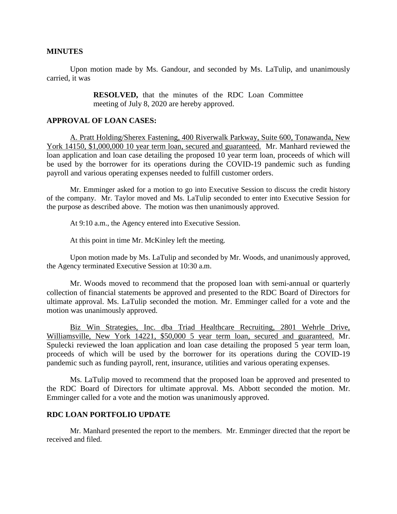#### **MINUTES**

Upon motion made by Ms. Gandour, and seconded by Ms. LaTulip, and unanimously carried, it was

> **RESOLVED,** that the minutes of the RDC Loan Committee meeting of July 8, 2020 are hereby approved.

#### **APPROVAL OF LOAN CASES:**

A. Pratt Holding/Sherex Fastening, 400 Riverwalk Parkway, Suite 600, Tonawanda, New York 14150, \$1,000,000 10 year term loan, secured and guaranteed. Mr. Manhard reviewed the loan application and loan case detailing the proposed 10 year term loan, proceeds of which will be used by the borrower for its operations during the COVID-19 pandemic such as funding payroll and various operating expenses needed to fulfill customer orders.

Mr. Emminger asked for a motion to go into Executive Session to discuss the credit history of the company. Mr. Taylor moved and Ms. LaTulip seconded to enter into Executive Session for the purpose as described above. The motion was then unanimously approved.

At 9:10 a.m., the Agency entered into Executive Session.

At this point in time Mr. McKinley left the meeting.

Upon motion made by Ms. LaTulip and seconded by Mr. Woods, and unanimously approved, the Agency terminated Executive Session at 10:30 a.m.

Mr. Woods moved to recommend that the proposed loan with semi-annual or quarterly collection of financial statements be approved and presented to the RDC Board of Directors for ultimate approval. Ms. LaTulip seconded the motion. Mr. Emminger called for a vote and the motion was unanimously approved.

Biz Win Strategies, Inc. dba Triad Healthcare Recruiting, 2801 Wehrle Drive, Williamsville, New York 14221, \$50,000 5 year term loan, secured and guaranteed. Mr. Spulecki reviewed the loan application and loan case detailing the proposed 5 year term loan, proceeds of which will be used by the borrower for its operations during the COVID-19 pandemic such as funding payroll, rent, insurance, utilities and various operating expenses.

Ms. LaTulip moved to recommend that the proposed loan be approved and presented to the RDC Board of Directors for ultimate approval. Ms. Abbott seconded the motion. Mr. Emminger called for a vote and the motion was unanimously approved.

#### **RDC LOAN PORTFOLIO UPDATE**

Mr. Manhard presented the report to the members. Mr. Emminger directed that the report be received and filed.